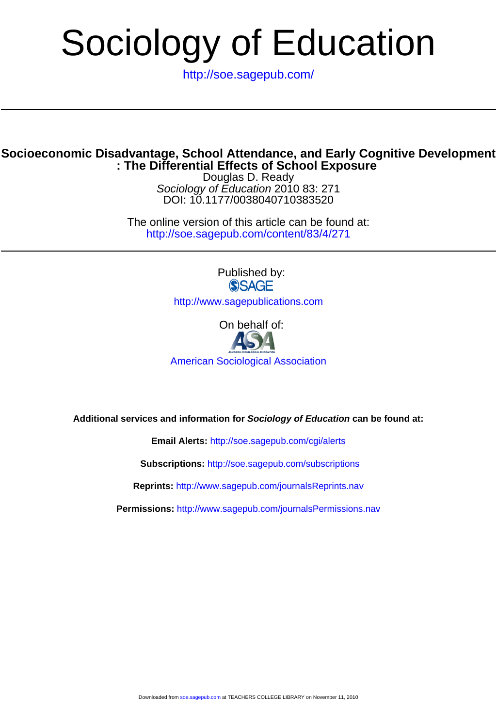# Sociology of Education

<http://soe.sagepub.com/>

## **: The Differential Effects of School Exposure Socioeconomic Disadvantage, School Attendance, and Early Cognitive Development**

DOI: 10.1177/0038040710383520 Sociology of Education 2010 83: 271 Douglas D. Ready

<http://soe.sagepub.com/content/83/4/271> The online version of this article can be found at:

> Published by: **SSAGE**

<http://www.sagepublications.com>

On behalf of:



[American Sociological Association](http://www.asanet.org)

**Additional services and information for Sociology of Education can be found at:**

**Email Alerts:** <http://soe.sagepub.com/cgi/alerts>

**Subscriptions:** <http://soe.sagepub.com/subscriptions>

**Reprints:** <http://www.sagepub.com/journalsReprints.nav>

**Permissions:** <http://www.sagepub.com/journalsPermissions.nav>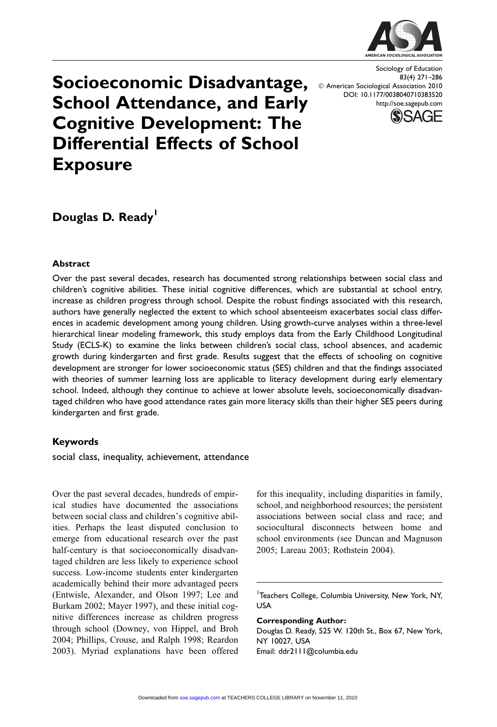

Sociology of Education 83(4) 271–286  $\oslash$  American Sociological Association 2010 DOI: 10.1177/0038040710383520 http://soe.sagepub.com



## Socioeconomic Disadvantage, School Attendance, and Early Cognitive Development: The Differential Effects of School Exposure

## Douglas D. Ready<sup>1</sup>

#### Abstract

Over the past several decades, research has documented strong relationships between social class and children's cognitive abilities. These initial cognitive differences, which are substantial at school entry, increase as children progress through school. Despite the robust findings associated with this research, authors have generally neglected the extent to which school absenteeism exacerbates social class differences in academic development among young children. Using growth-curve analyses within a three-level hierarchical linear modeling framework, this study employs data from the Early Childhood Longitudinal Study (ECLS-K) to examine the links between children's social class, school absences, and academic growth during kindergarten and first grade. Results suggest that the effects of schooling on cognitive development are stronger for lower socioeconomic status (SES) children and that the findings associated with theories of summer learning loss are applicable to literacy development during early elementary school. Indeed, although they continue to achieve at lower absolute levels, socioeconomically disadvantaged children who have good attendance rates gain more literacy skills than their higher SES peers during kindergarten and first grade.

#### Keywords

social class, inequality, achievement, attendance

Over the past several decades, hundreds of empirical studies have documented the associations between social class and children's cognitive abilities. Perhaps the least disputed conclusion to emerge from educational research over the past half-century is that socioeconomically disadvantaged children are less likely to experience school success. Low-income students enter kindergarten academically behind their more advantaged peers (Entwisle, Alexander, and Olson 1997; Lee and Burkam 2002; Mayer 1997), and these initial cognitive differences increase as children progress through school (Downey, von Hippel, and Broh 2004; Phillips, Crouse, and Ralph 1998; Reardon 2003). Myriad explanations have been offered for this inequality, including disparities in family, school, and neighborhood resources; the persistent associations between social class and race; and sociocultural disconnects between home and school environments (see Duncan and Magnuson 2005; Lareau 2003; Rothstein 2004).

<sup>1</sup>Teachers College, Columbia University, New York, NY, USA

Corresponding Author:

Douglas D. Ready, 525 W. 120th St., Box 67, New York, NY 10027, USA Email: ddr2111@columbia.edu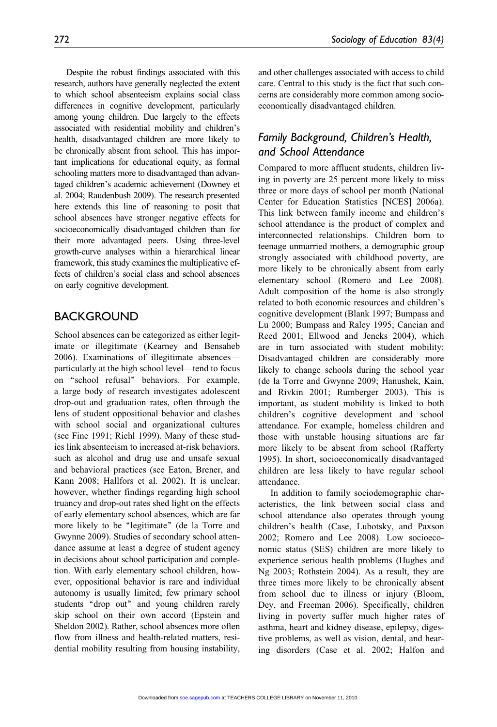Despite the robust findings associated with this research, authors have generally neglected the extent to which school absenteeism explains social class differences in cognitive development, particularly among young children. Due largely to the effects associated with residential mobility and children's health, disadvantaged children are more likely to be chronically absent from school. This has important implications for educational equity, as formal schooling matters more to disadvantaged than advantaged children's academic achievement (Downey et al. 2004; Raudenbush 2009). The research presented here extends this line of reasoning to posit that school absences have stronger negative effects for socioeconomically disadvantaged children than for their more advantaged peers. Using three-level growth-curve analyses within a hierarchical linear framework, this study examines the multiplicative effects of children's social class and school absences on early cognitive development.

## **BACKGROUND**

School absences can be categorized as either legitimate or illegitimate (Kearney and Bensaheb 2006). Examinations of illegitimate absences particularly at the high school level—tend to focus on ''school refusal'' behaviors. For example, a large body of research investigates adolescent drop-out and graduation rates, often through the lens of student oppositional behavior and clashes with school social and organizational cultures (see Fine 1991; Riehl 1999). Many of these studies link absenteeism to increased at-risk behaviors, such as alcohol and drug use and unsafe sexual and behavioral practices (see Eaton, Brener, and Kann 2008; Hallfors et al. 2002). It is unclear, however, whether findings regarding high school truancy and drop-out rates shed light on the effects of early elementary school absences, which are far more likely to be "legitimate" (de la Torre and Gwynne 2009). Studies of secondary school attendance assume at least a degree of student agency in decisions about school participation and completion. With early elementary school children, however, oppositional behavior is rare and individual autonomy is usually limited; few primary school students "drop out" and young children rarely skip school on their own accord (Epstein and Sheldon 2002). Rather, school absences more often flow from illness and health-related matters, residential mobility resulting from housing instability, and other challenges associated with access to child care. Central to this study is the fact that such concerns are considerably more common among socioeconomically disadvantaged children.

## Family Background, Children's Health, and School Attendance

Compared to more affluent students, children living in poverty are 25 percent more likely to miss three or more days of school per month (National Center for Education Statistics [NCES] 2006a). This link between family income and children's school attendance is the product of complex and interconnected relationships. Children born to teenage unmarried mothers, a demographic group strongly associated with childhood poverty, are more likely to be chronically absent from early elementary school (Romero and Lee 2008). Adult composition of the home is also strongly related to both economic resources and children's cognitive development (Blank 1997; Bumpass and Lu 2000; Bumpass and Raley 1995; Cancian and Reed 2001; Ellwood and Jencks 2004), which are in turn associated with student mobility: Disadvantaged children are considerably more likely to change schools during the school year (de la Torre and Gwynne 2009; Hanushek, Kain, and Rivkin 2001; Rumberger 2003). This is important, as student mobility is linked to both children's cognitive development and school attendance. For example, homeless children and those with unstable housing situations are far more likely to be absent from school (Rafferty 1995). In short, socioeconomically disadvantaged children are less likely to have regular school attendance.

In addition to family sociodemographic characteristics, the link between social class and school attendance also operates through young children's health (Case, Lubotsky, and Paxson 2002; Romero and Lee 2008). Low socioeconomic status (SES) children are more likely to experience serious health problems (Hughes and Ng 2003; Rothstein 2004). As a result, they are three times more likely to be chronically absent from school due to illness or injury (Bloom, Dey, and Freeman 2006). Specifically, children living in poverty suffer much higher rates of asthma, heart and kidney disease, epilepsy, digestive problems, as well as vision, dental, and hearing disorders (Case et al. 2002; Halfon and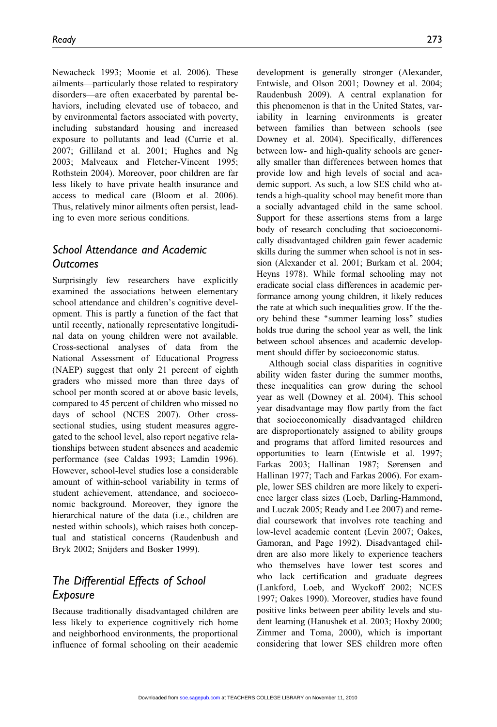Newacheck 1993; Moonie et al. 2006). These ailments—particularly those related to respiratory disorders—are often exacerbated by parental behaviors, including elevated use of tobacco, and by environmental factors associated with poverty, including substandard housing and increased exposure to pollutants and lead (Currie et al. 2007; Gilliland et al. 2001; Hughes and Ng 2003; Malveaux and Fletcher-Vincent 1995; Rothstein 2004). Moreover, poor children are far less likely to have private health insurance and access to medical care (Bloom et al. 2006). Thus, relatively minor ailments often persist, leading to even more serious conditions.

#### School Attendance and Academic Outcomes

Surprisingly few researchers have explicitly examined the associations between elementary school attendance and children's cognitive development. This is partly a function of the fact that until recently, nationally representative longitudinal data on young children were not available. Cross-sectional analyses of data from the National Assessment of Educational Progress (NAEP) suggest that only 21 percent of eighth graders who missed more than three days of school per month scored at or above basic levels, compared to 45 percent of children who missed no days of school (NCES 2007). Other crosssectional studies, using student measures aggregated to the school level, also report negative relationships between student absences and academic performance (see Caldas 1993; Lamdin 1996). However, school-level studies lose a considerable amount of within-school variability in terms of student achievement, attendance, and socioeconomic background. Moreover, they ignore the hierarchical nature of the data (i.e., children are nested within schools), which raises both conceptual and statistical concerns (Raudenbush and Bryk 2002; Snijders and Bosker 1999).

## The Differential Effects of School Exposure

Because traditionally disadvantaged children are less likely to experience cognitively rich home and neighborhood environments, the proportional influence of formal schooling on their academic development is generally stronger (Alexander, Entwisle, and Olson 2001; Downey et al. 2004; Raudenbush 2009). A central explanation for this phenomenon is that in the United States, variability in learning environments is greater between families than between schools (see Downey et al. 2004). Specifically, differences between low- and high-quality schools are generally smaller than differences between homes that provide low and high levels of social and academic support. As such, a low SES child who attends a high-quality school may benefit more than a socially advantaged child in the same school. Support for these assertions stems from a large body of research concluding that socioeconomically disadvantaged children gain fewer academic skills during the summer when school is not in session (Alexander et al. 2001; Burkam et al. 2004; Heyns 1978). While formal schooling may not eradicate social class differences in academic performance among young children, it likely reduces the rate at which such inequalities grow. If the theory behind these ''summer learning loss'' studies holds true during the school year as well, the link between school absences and academic development should differ by socioeconomic status.

Although social class disparities in cognitive ability widen faster during the summer months, these inequalities can grow during the school year as well (Downey et al. 2004). This school year disadvantage may flow partly from the fact that socioeconomically disadvantaged children are disproportionately assigned to ability groups and programs that afford limited resources and opportunities to learn (Entwisle et al. 1997; Farkas 2003; Hallinan 1987; Sørensen and Hallinan 1977; Tach and Farkas 2006). For example, lower SES children are more likely to experience larger class sizes (Loeb, Darling-Hammond, and Luczak 2005; Ready and Lee 2007) and remedial coursework that involves rote teaching and low-level academic content (Levin 2007; Oakes, Gamoran, and Page 1992). Disadvantaged children are also more likely to experience teachers who themselves have lower test scores and who lack certification and graduate degrees (Lankford, Loeb, and Wyckoff 2002; NCES 1997; Oakes 1990). Moreover, studies have found positive links between peer ability levels and student learning (Hanushek et al. 2003; Hoxby 2000; Zimmer and Toma, 2000), which is important considering that lower SES children more often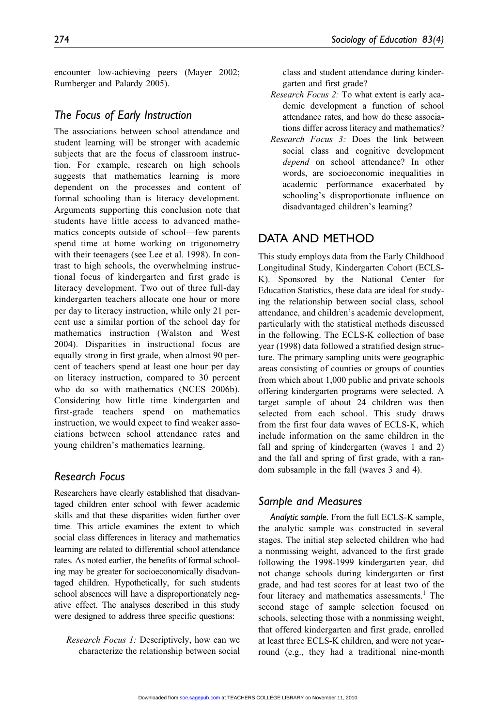encounter low-achieving peers (Mayer 2002; Rumberger and Palardy 2005).

#### The Focus of Early Instruction

The associations between school attendance and student learning will be stronger with academic subjects that are the focus of classroom instruction. For example, research on high schools suggests that mathematics learning is more dependent on the processes and content of formal schooling than is literacy development. Arguments supporting this conclusion note that students have little access to advanced mathematics concepts outside of school—few parents spend time at home working on trigonometry with their teenagers (see Lee et al. 1998). In contrast to high schools, the overwhelming instructional focus of kindergarten and first grade is literacy development. Two out of three full-day kindergarten teachers allocate one hour or more per day to literacy instruction, while only 21 percent use a similar portion of the school day for mathematics instruction (Walston and West 2004). Disparities in instructional focus are equally strong in first grade, when almost 90 percent of teachers spend at least one hour per day on literacy instruction, compared to 30 percent who do so with mathematics (NCES 2006b). Considering how little time kindergarten and first-grade teachers spend on mathematics instruction, we would expect to find weaker associations between school attendance rates and young children's mathematics learning.

#### Research Focus

Researchers have clearly established that disadvantaged children enter school with fewer academic skills and that these disparities widen further over time. This article examines the extent to which social class differences in literacy and mathematics learning are related to differential school attendance rates. As noted earlier, the benefits of formal schooling may be greater for socioeconomically disadvantaged children. Hypothetically, for such students school absences will have a disproportionately negative effect. The analyses described in this study were designed to address three specific questions:

Research Focus 1: Descriptively, how can we characterize the relationship between social class and student attendance during kindergarten and first grade?

- Research Focus 2: To what extent is early academic development a function of school attendance rates, and how do these associations differ across literacy and mathematics?
- Research Focus 3: Does the link between social class and cognitive development depend on school attendance? In other words, are socioeconomic inequalities in academic performance exacerbated by schooling's disproportionate influence on disadvantaged children's learning?

### DATA AND METHOD

This study employs data from the Early Childhood Longitudinal Study, Kindergarten Cohort (ECLS-K). Sponsored by the National Center for Education Statistics, these data are ideal for studying the relationship between social class, school attendance, and children's academic development, particularly with the statistical methods discussed in the following. The ECLS-K collection of base year (1998) data followed a stratified design structure. The primary sampling units were geographic areas consisting of counties or groups of counties from which about 1,000 public and private schools offering kindergarten programs were selected. A target sample of about 24 children was then selected from each school. This study draws from the first four data waves of ECLS-K, which include information on the same children in the fall and spring of kindergarten (waves 1 and 2) and the fall and spring of first grade, with a random subsample in the fall (waves 3 and 4).

#### Sample and Measures

Analytic sample. From the full ECLS-K sample, the analytic sample was constructed in several stages. The initial step selected children who had a nonmissing weight, advanced to the first grade following the 1998-1999 kindergarten year, did not change schools during kindergarten or first grade, and had test scores for at least two of the four literacy and mathematics assessments.<sup>1</sup> The second stage of sample selection focused on schools, selecting those with a nonmissing weight, that offered kindergarten and first grade, enrolled at least three ECLS-K children, and were not yearround (e.g., they had a traditional nine-month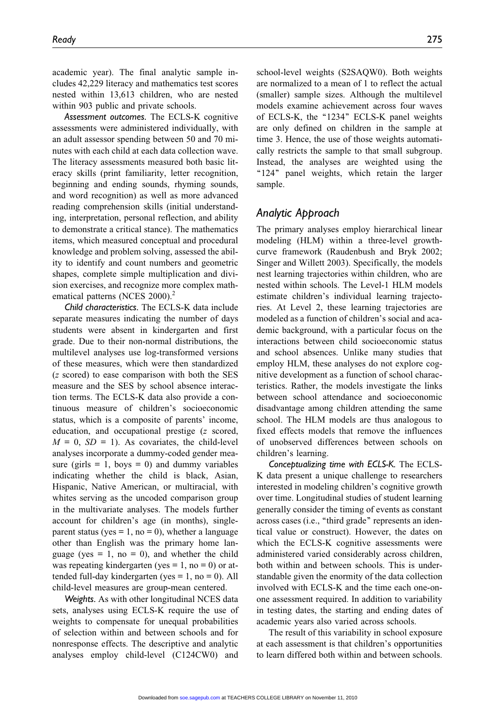academic year). The final analytic sample includes 42,229 literacy and mathematics test scores nested within 13,613 children, who are nested within 903 public and private schools.

Assessment outcomes. The ECLS-K cognitive assessments were administered individually, with an adult assessor spending between 50 and 70 minutes with each child at each data collection wave. The literacy assessments measured both basic literacy skills (print familiarity, letter recognition, beginning and ending sounds, rhyming sounds, and word recognition) as well as more advanced reading comprehension skills (initial understanding, interpretation, personal reflection, and ability to demonstrate a critical stance). The mathematics items, which measured conceptual and procedural knowledge and problem solving, assessed the ability to identify and count numbers and geometric shapes, complete simple multiplication and division exercises, and recognize more complex mathematical patterns (NCES 2000).<sup>2</sup>

Child characteristics. The ECLS-K data include separate measures indicating the number of days students were absent in kindergarten and first grade. Due to their non-normal distributions, the multilevel analyses use log-transformed versions of these measures, which were then standardized (z scored) to ease comparison with both the SES measure and the SES by school absence interaction terms. The ECLS-K data also provide a continuous measure of children's socioeconomic status, which is a composite of parents' income, education, and occupational prestige (z scored,  $M = 0$ ,  $SD = 1$ ). As covariates, the child-level analyses incorporate a dummy-coded gender measure (girls  $= 1$ , boys  $= 0$ ) and dummy variables indicating whether the child is black, Asian, Hispanic, Native American, or multiracial, with whites serving as the uncoded comparison group in the multivariate analyses. The models further account for children's age (in months), singleparent status (yes =  $1$ , no = 0), whether a language other than English was the primary home language (yes  $= 1$ , no  $= 0$ ), and whether the child was repeating kindergarten (yes  $= 1$ , no  $= 0$ ) or attended full-day kindergarten (yes = 1, no = 0). All child-level measures are group-mean centered.

Weights. As with other longitudinal NCES data sets, analyses using ECLS-K require the use of weights to compensate for unequal probabilities of selection within and between schools and for nonresponse effects. The descriptive and analytic analyses employ child-level (C124CW0) and

school-level weights (S2SAQW0). Both weights are normalized to a mean of 1 to reflect the actual (smaller) sample sizes. Although the multilevel models examine achievement across four waves of ECLS-K, the "1234" ECLS-K panel weights are only defined on children in the sample at time 3. Hence, the use of those weights automatically restricts the sample to that small subgroup. Instead, the analyses are weighted using the "124" panel weights, which retain the larger sample.

#### Analytic Approach

The primary analyses employ hierarchical linear modeling (HLM) within a three-level growthcurve framework (Raudenbush and Bryk 2002; Singer and Willett 2003). Specifically, the models nest learning trajectories within children, who are nested within schools. The Level-1 HLM models estimate children's individual learning trajectories. At Level 2, these learning trajectories are modeled as a function of children's social and academic background, with a particular focus on the interactions between child socioeconomic status and school absences. Unlike many studies that employ HLM, these analyses do not explore cognitive development as a function of school characteristics. Rather, the models investigate the links between school attendance and socioeconomic disadvantage among children attending the same school. The HLM models are thus analogous to fixed effects models that remove the influences of unobserved differences between schools on children's learning.

Conceptualizing time with ECLS-K. The ECLS-K data present a unique challenge to researchers interested in modeling children's cognitive growth over time. Longitudinal studies of student learning generally consider the timing of events as constant across cases (i.e., ''third grade'' represents an identical value or construct). However, the dates on which the ECLS-K cognitive assessments were administered varied considerably across children, both within and between schools. This is understandable given the enormity of the data collection involved with ECLS-K and the time each one-onone assessment required. In addition to variability in testing dates, the starting and ending dates of academic years also varied across schools.

The result of this variability in school exposure at each assessment is that children's opportunities to learn differed both within and between schools.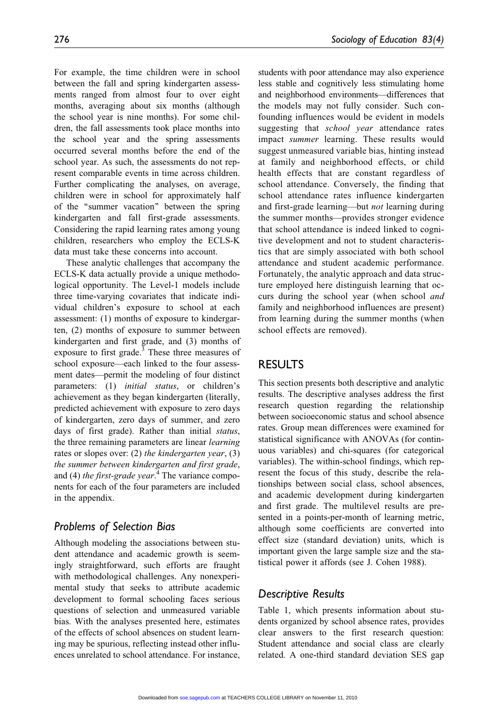For example, the time children were in school between the fall and spring kindergarten assessments ranged from almost four to over eight months, averaging about six months (although the school year is nine months). For some children, the fall assessments took place months into the school year and the spring assessments occurred several months before the end of the school year. As such, the assessments do not represent comparable events in time across children. Further complicating the analyses, on average, children were in school for approximately half of the ''summer vacation'' between the spring kindergarten and fall first-grade assessments. Considering the rapid learning rates among young children, researchers who employ the ECLS-K data must take these concerns into account.

These analytic challenges that accompany the ECLS-K data actually provide a unique methodological opportunity. The Level-1 models include three time-varying covariates that indicate individual children's exposure to school at each assessment: (1) months of exposure to kindergarten, (2) months of exposure to summer between kindergarten and first grade, and (3) months of exposure to first grade. $3$  These three measures of school exposure—each linked to the four assessment dates—permit the modeling of four distinct parameters: (1) *initial status*, or children's achievement as they began kindergarten (literally, predicted achievement with exposure to zero days of kindergarten, zero days of summer, and zero days of first grade). Rather than initial status, the three remaining parameters are linear *learning* rates or slopes over: (2) the kindergarten year, (3) the summer between kindergarten and first grade, and (4) the first-grade year.<sup>4</sup> The variance components for each of the four parameters are included in the appendix.

#### Problems of Selection Bias

Although modeling the associations between student attendance and academic growth is seemingly straightforward, such efforts are fraught with methodological challenges. Any nonexperimental study that seeks to attribute academic development to formal schooling faces serious questions of selection and unmeasured variable bias. With the analyses presented here, estimates of the effects of school absences on student learning may be spurious, reflecting instead other influences unrelated to school attendance. For instance, students with poor attendance may also experience less stable and cognitively less stimulating home and neighborhood environments—differences that the models may not fully consider. Such confounding influences would be evident in models suggesting that school year attendance rates impact summer learning. These results would suggest unmeasured variable bias, hinting instead at family and neighborhood effects, or child health effects that are constant regardless of school attendance. Conversely, the finding that school attendance rates influence kindergarten and first-grade learning—but not learning during the summer months—provides stronger evidence that school attendance is indeed linked to cognitive development and not to student characteristics that are simply associated with both school attendance and student academic performance. Fortunately, the analytic approach and data structure employed here distinguish learning that occurs during the school year (when school and family and neighborhood influences are present) from learning during the summer months (when school effects are removed).

#### RESULTS

This section presents both descriptive and analytic results. The descriptive analyses address the first research question regarding the relationship between socioeconomic status and school absence rates. Group mean differences were examined for statistical significance with ANOVAs (for continuous variables) and chi-squares (for categorical variables). The within-school findings, which represent the focus of this study, describe the relationships between social class, school absences, and academic development during kindergarten and first grade. The multilevel results are presented in a points-per-month of learning metric, although some coefficients are converted into effect size (standard deviation) units, which is important given the large sample size and the statistical power it affords (see J. Cohen 1988).

#### Descriptive Results

Table 1, which presents information about students organized by school absence rates, provides clear answers to the first research question: Student attendance and social class are clearly related. A one-third standard deviation SES gap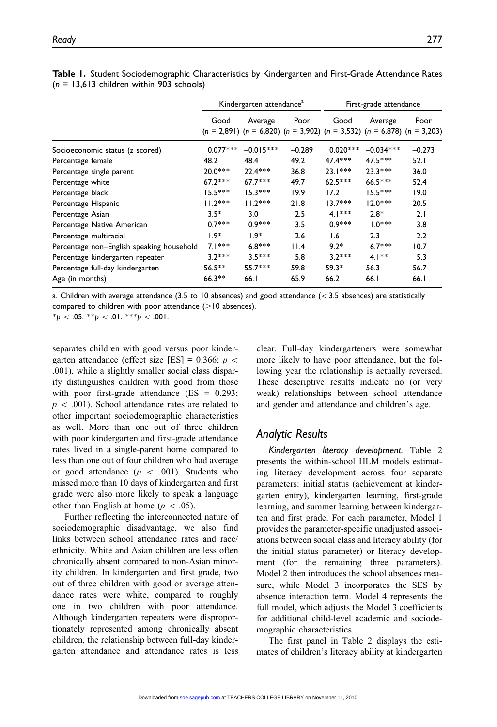|                                           | Kindergarten attendance <sup>a</sup> |             |          | First-grade attendance |             |                                                                                             |
|-------------------------------------------|--------------------------------------|-------------|----------|------------------------|-------------|---------------------------------------------------------------------------------------------|
|                                           | Good                                 | Average     | Poor     | Good                   | Average     | Poor<br>$(n = 2,891)$ $(n = 6,820)$ $(n = 3,902)$ $(n = 3,532)$ $(n = 6,878)$ $(n = 3,203)$ |
| Socioeconomic status (z scored)           | $0.077***$                           | $-0.015***$ | $-0.289$ | $0.020***$             | $-0.034***$ | $-0.273$                                                                                    |
| Percentage female                         | 48.2                                 | 48.4        | 49.2     | $47.4***$              | $47.5***$   | 52.1                                                                                        |
| Percentage single parent                  | $20.0***$                            | $22.4***$   | 36.8     | $23.1***$              | $23.3***$   | 36.0                                                                                        |
| Percentage white                          | $67.2***$                            | $67.7***$   | 49.7     | $62.5***$              | $66.5***$   | 52.4                                                                                        |
| Percentage black                          | $15.5***$                            | $15.3***$   | 19.9     | 17.2                   | $15.5***$   | 19.0                                                                                        |
| Percentage Hispanic                       | $11.2***$                            | $11.2***$   | 21.8     | $13.7***$              | $12.0***$   | 20.5                                                                                        |
| Percentage Asian                          | $3.5*$                               | 3.0         | 2.5      | $4.1***$               | $2.8*$      | 2.1                                                                                         |
| Percentage Native American                | $0.7***$                             | $0.9***$    | 3.5      | $0.9***$               | $1.0***$    | 3.8                                                                                         |
| Percentage multiracial                    | $1.9*$                               | 1.9*        | 2.6      | 1.6                    | 2.3         | $2.2\phantom{0}$                                                                            |
| Percentage non-English speaking household | $7.1***$                             | $6.8***$    | 11.4     | $9.2*$                 | $6.7***$    | 10.7                                                                                        |
| Percentage kindergarten repeater          | $3.2***$                             | $3.5***$    | 5.8      | $3.2***$               | $4.1**$     | 5.3                                                                                         |
| Percentage full-day kindergarten          | $56.5**$                             | $55.7***$   | 59.8     | 59.3*                  | 56.3        | 56.7                                                                                        |
| Age (in months)                           | $66.3**$                             | 66.1        | 65.9     | 66.2                   | 66.1        | 66.I                                                                                        |

Table 1. Student Sociodemographic Characteristics by Kindergarten and First-Grade Attendance Rates  $(n = 13,613$  children within 903 schools)

a. Children with average attendance (3.5 to 10 absences) and good attendance ( $\lt$ 3.5 absences) are statistically compared to children with poor attendance  $(>10$  absences).

 $*_p$   $<$  .05.  $*_p$   $<$  .01.  $**_p$   $<$  .001.

separates children with good versus poor kindergarten attendance (effect size [ES] = 0.366;  $p$  < .001), while a slightly smaller social class disparity distinguishes children with good from those with poor first-grade attendance  $(ES = 0.293)$ ;  $p \, < \, .001$ ). School attendance rates are related to other important sociodemographic characteristics as well. More than one out of three children with poor kindergarten and first-grade attendance rates lived in a single-parent home compared to less than one out of four children who had average or good attendance ( $p \, < \, 001$ ). Students who missed more than 10 days of kindergarten and first grade were also more likely to speak a language other than English at home ( $p \lt .05$ ).

Further reflecting the interconnected nature of sociodemographic disadvantage, we also find links between school attendance rates and race/ ethnicity. White and Asian children are less often chronically absent compared to non-Asian minority children. In kindergarten and first grade, two out of three children with good or average attendance rates were white, compared to roughly one in two children with poor attendance. Although kindergarten repeaters were disproportionately represented among chronically absent children, the relationship between full-day kindergarten attendance and attendance rates is less

clear. Full-day kindergarteners were somewhat more likely to have poor attendance, but the following year the relationship is actually reversed. These descriptive results indicate no (or very weak) relationships between school attendance and gender and attendance and children's age.

#### Analytic Results

Kindergarten literacy development. Table 2 presents the within-school HLM models estimating literacy development across four separate parameters: initial status (achievement at kindergarten entry), kindergarten learning, first-grade learning, and summer learning between kindergarten and first grade. For each parameter, Model 1 provides the parameter-specific unadjusted associations between social class and literacy ability (for the initial status parameter) or literacy development (for the remaining three parameters). Model 2 then introduces the school absences measure, while Model 3 incorporates the SES by absence interaction term. Model 4 represents the full model, which adjusts the Model 3 coefficients for additional child-level academic and sociodemographic characteristics.

The first panel in Table 2 displays the estimates of children's literacy ability at kindergarten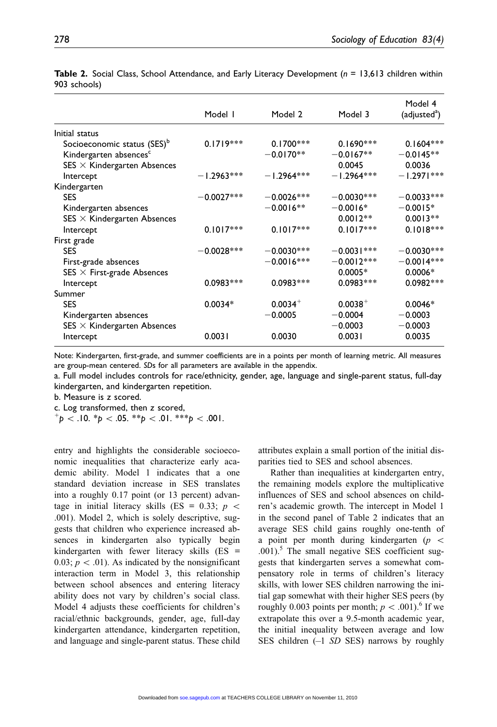|                                         |              |              |              | Model 4      |
|-----------------------------------------|--------------|--------------|--------------|--------------|
|                                         | Model I      | Model 2      | Model 3      | (adjustedª)  |
| Initial status                          |              |              |              |              |
| Socioeconomic status (SES) <sup>b</sup> | $0.1719***$  | $0.1700***$  | $0.1690***$  | $0.1604***$  |
| Kindergarten absences                   |              | $-0.0170**$  | $-0.0167**$  | $-0.0145**$  |
| $SES \times$ Kindergarten Absences      |              |              | 0.0045       | 0.0036       |
| Intercept                               | $-1.2963***$ | $-1.2964***$ | $-1.2964***$ | $-1.2971***$ |
| Kindergarten                            |              |              |              |              |
| <b>SES</b>                              | $-0.0027***$ | $-0.0026***$ | $-0.0030***$ | $-0.0033***$ |
| Kindergarten absences                   |              | $-0.0016**$  | $-0.0016*$   | $-0.0015*$   |
| $SES \times$ Kindergarten Absences      |              |              | $0.0012**$   | $0.0013**$   |
| Intercept                               | $0.1017***$  | $0.1017***$  | $0.1017***$  | $0.1018***$  |
| First grade                             |              |              |              |              |
| <b>SES</b>                              | $-0.0028***$ | $-0.0030***$ | $-0.0031***$ | $-0.0030***$ |
| First-grade absences                    |              | $-0.0016***$ | $-0.0012***$ | $-0.0014***$ |
| $SES \times$ First-grade Absences       |              |              | $0.0005*$    | $0.0006*$    |
| Intercept                               | 0.0983 ***   | $0.0983***$  | $0.0983***$  | 0.0982 ***   |
| Summer                                  |              |              |              |              |
| <b>SES</b>                              | $0.0034*$    | $0.0034+$    | $0.0038^{+}$ | $0.0046*$    |
| Kindergarten absences                   |              | $-0.0005$    | $-0.0004$    | $-0.0003$    |
| $SES \times$ Kindergarten Absences      |              |              | $-0.0003$    | $-0.0003$    |
| Intercept                               | 0.0031       | 0.0030       | 0.0031       | 0.0035       |

Table 2. Social Class, School Attendance, and Early Literacy Development  $(n = 13,613)$  children within 903 schools)

Note: Kindergarten, first-grade, and summer coefficients are in a points per month of learning metric. All measures are group-mean centered. SDs for all parameters are available in the appendix.

a. Full model includes controls for race/ethnicity, gender, age, language and single-parent status, full-day kindergarten, and kindergarten repetition.

b. Measure is z scored.

c. Log transformed, then z scored,<br><sup>+</sup>p < .10. \*p < .05. \*\*p < .01. \*\*\*p < .001.

entry and highlights the considerable socioeconomic inequalities that characterize early academic ability. Model 1 indicates that a one standard deviation increase in SES translates into a roughly 0.17 point (or 13 percent) advantage in initial literacy skills (ES = 0.33;  $p \le$ .001). Model 2, which is solely descriptive, suggests that children who experience increased absences in kindergarten also typically begin kindergarten with fewer literacy skills (ES = 0.03;  $p < .01$ ). As indicated by the nonsignificant interaction term in Model 3, this relationship between school absences and entering literacy ability does not vary by children's social class. Model 4 adjusts these coefficients for children's racial/ethnic backgrounds, gender, age, full-day kindergarten attendance, kindergarten repetition, and language and single-parent status. These child attributes explain a small portion of the initial disparities tied to SES and school absences.

Rather than inequalities at kindergarten entry, the remaining models explore the multiplicative influences of SES and school absences on children's academic growth. The intercept in Model 1 in the second panel of Table 2 indicates that an average SES child gains roughly one-tenth of a point per month during kindergarten ( $p \leq$  $.001$ <sup>5</sup>. The small negative SES coefficient suggests that kindergarten serves a somewhat compensatory role in terms of children's literacy skills, with lower SES children narrowing the initial gap somewhat with their higher SES peers (by roughly 0.003 points per month;  $p \lt 0.001$ .<sup>6</sup> If we extrapolate this over a 9.5-month academic year, the initial inequality between average and low SES children  $(-1)$  SD SES) narrows by roughly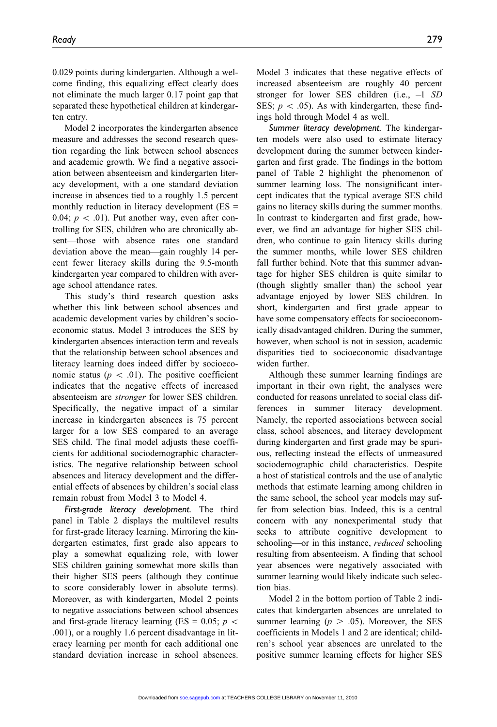0.029 points during kindergarten. Although a welcome finding, this equalizing effect clearly does not eliminate the much larger 0.17 point gap that separated these hypothetical children at kindergarten entry.

Model 2 incorporates the kindergarten absence measure and addresses the second research question regarding the link between school absences and academic growth. We find a negative association between absenteeism and kindergarten literacy development, with a one standard deviation increase in absences tied to a roughly 1.5 percent monthly reduction in literacy development (ES = 0.04;  $p \, < \, 0.01$ ). Put another way, even after controlling for SES, children who are chronically absent—those with absence rates one standard deviation above the mean—gain roughly 14 percent fewer literacy skills during the 9.5-month kindergarten year compared to children with average school attendance rates.

This study's third research question asks whether this link between school absences and academic development varies by children's socioeconomic status. Model 3 introduces the SES by kindergarten absences interaction term and reveals that the relationship between school absences and literacy learning does indeed differ by socioeconomic status ( $p \, < \, 0.01$ ). The positive coefficient indicates that the negative effects of increased absenteeism are stronger for lower SES children. Specifically, the negative impact of a similar increase in kindergarten absences is 75 percent larger for a low SES compared to an average SES child. The final model adjusts these coefficients for additional sociodemographic characteristics. The negative relationship between school absences and literacy development and the differential effects of absences by children's social class remain robust from Model 3 to Model 4.

First-grade literacy development. The third panel in Table 2 displays the multilevel results for first-grade literacy learning. Mirroring the kindergarten estimates, first grade also appears to play a somewhat equalizing role, with lower SES children gaining somewhat more skills than their higher SES peers (although they continue to score considerably lower in absolute terms). Moreover, as with kindergarten, Model 2 points to negative associations between school absences and first-grade literacy learning (ES =  $0.05$ ;  $p$  < .001), or a roughly 1.6 percent disadvantage in literacy learning per month for each additional one standard deviation increase in school absences.

Model 3 indicates that these negative effects of increased absenteeism are roughly 40 percent stronger for lower SES children (i.e., -1 SD SES;  $p \, < \, .05$ ). As with kindergarten, these findings hold through Model 4 as well.

Summer literacy development. The kindergarten models were also used to estimate literacy development during the summer between kindergarten and first grade. The findings in the bottom panel of Table 2 highlight the phenomenon of summer learning loss. The nonsignificant intercept indicates that the typical average SES child gains no literacy skills during the summer months. In contrast to kindergarten and first grade, however, we find an advantage for higher SES children, who continue to gain literacy skills during the summer months, while lower SES children fall further behind. Note that this summer advantage for higher SES children is quite similar to (though slightly smaller than) the school year advantage enjoyed by lower SES children. In short, kindergarten and first grade appear to have some compensatory effects for socioeconomically disadvantaged children. During the summer, however, when school is not in session, academic disparities tied to socioeconomic disadvantage widen further.

Although these summer learning findings are important in their own right, the analyses were conducted for reasons unrelated to social class differences in summer literacy development. Namely, the reported associations between social class, school absences, and literacy development during kindergarten and first grade may be spurious, reflecting instead the effects of unmeasured sociodemographic child characteristics. Despite a host of statistical controls and the use of analytic methods that estimate learning among children in the same school, the school year models may suffer from selection bias. Indeed, this is a central concern with any nonexperimental study that seeks to attribute cognitive development to schooling—or in this instance, reduced schooling resulting from absenteeism. A finding that school year absences were negatively associated with summer learning would likely indicate such selection bias.

Model 2 in the bottom portion of Table 2 indicates that kindergarten absences are unrelated to summer learning ( $p > .05$ ). Moreover, the SES coefficients in Models 1 and 2 are identical; children's school year absences are unrelated to the positive summer learning effects for higher SES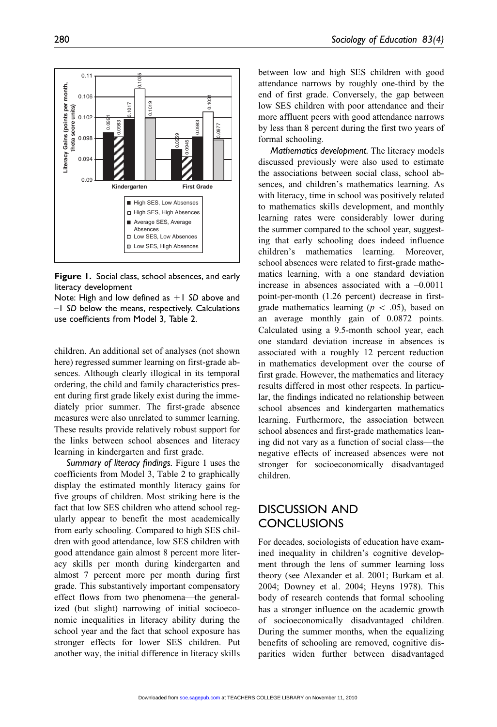$0.1$ 0.1075 Literacy Gains (points per month<br>theta score units) **Literacy Gains (points per month,** 0.106 0.1031 0.1019 0.1017 **theta score units)** 0.102 0.0991 0.0983 0.0983 0.0977 0.0959 0.098 0.0945 0.094 0.09 **Kindergarten First Grade** High SES, Low Absenses High SES, High Absences Average SES, Average Absences **D** Low SES, Low Absences **Q** Low SES, High Absences

Figure 1. Social class, school absences, and early literacy development

Note: High and low defined as  $+1$  SD above and –1 SD below the means, respectively. Calculations use coefficients from Model 3, Table 2.

children. An additional set of analyses (not shown here) regressed summer learning on first-grade absences. Although clearly illogical in its temporal ordering, the child and family characteristics present during first grade likely exist during the immediately prior summer. The first-grade absence measures were also unrelated to summer learning. These results provide relatively robust support for the links between school absences and literacy learning in kindergarten and first grade.

Summary of literacy findings. Figure 1 uses the coefficients from Model 3, Table 2 to graphically display the estimated monthly literacy gains for five groups of children. Most striking here is the fact that low SES children who attend school regularly appear to benefit the most academically from early schooling. Compared to high SES children with good attendance, low SES children with good attendance gain almost 8 percent more literacy skills per month during kindergarten and almost 7 percent more per month during first grade. This substantively important compensatory effect flows from two phenomena—the generalized (but slight) narrowing of initial socioeconomic inequalities in literacy ability during the school year and the fact that school exposure has stronger effects for lower SES children. Put another way, the initial difference in literacy skills between low and high SES children with good attendance narrows by roughly one-third by the end of first grade. Conversely, the gap between low SES children with poor attendance and their more affluent peers with good attendance narrows by less than 8 percent during the first two years of formal schooling.

Mathematics development. The literacy models discussed previously were also used to estimate the associations between social class, school absences, and children's mathematics learning. As with literacy, time in school was positively related to mathematics skills development, and monthly learning rates were considerably lower during the summer compared to the school year, suggesting that early schooling does indeed influence children's mathematics learning. Moreover, school absences were related to first-grade mathematics learning, with a one standard deviation increase in absences associated with a –0.0011 point-per-month (1.26 percent) decrease in firstgrade mathematics learning ( $p \, < .05$ ), based on an average monthly gain of 0.0872 points. Calculated using a 9.5-month school year, each one standard deviation increase in absences is associated with a roughly 12 percent reduction in mathematics development over the course of first grade. However, the mathematics and literacy results differed in most other respects. In particular, the findings indicated no relationship between school absences and kindergarten mathematics learning. Furthermore, the association between school absences and first-grade mathematics leaning did not vary as a function of social class—the negative effects of increased absences were not stronger for socioeconomically disadvantaged children.

## DISCUSSION AND **CONCLUSIONS**

For decades, sociologists of education have examined inequality in children's cognitive development through the lens of summer learning loss theory (see Alexander et al. 2001; Burkam et al. 2004; Downey et al. 2004; Heyns 1978). This body of research contends that formal schooling has a stronger influence on the academic growth of socioeconomically disadvantaged children. During the summer months, when the equalizing benefits of schooling are removed, cognitive disparities widen further between disadvantaged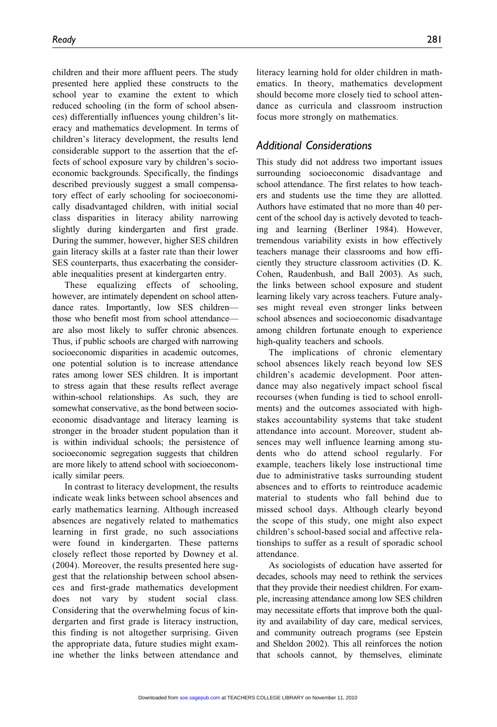children and their more affluent peers. The study presented here applied these constructs to the school year to examine the extent to which reduced schooling (in the form of school absences) differentially influences young children's literacy and mathematics development. In terms of children's literacy development, the results lend considerable support to the assertion that the effects of school exposure vary by children's socioeconomic backgrounds. Specifically, the findings described previously suggest a small compensatory effect of early schooling for socioeconomically disadvantaged children, with initial social class disparities in literacy ability narrowing slightly during kindergarten and first grade. During the summer, however, higher SES children gain literacy skills at a faster rate than their lower SES counterparts, thus exacerbating the considerable inequalities present at kindergarten entry.

These equalizing effects of schooling, however, are intimately dependent on school attendance rates. Importantly, low SES children those who benefit most from school attendance are also most likely to suffer chronic absences. Thus, if public schools are charged with narrowing socioeconomic disparities in academic outcomes, one potential solution is to increase attendance rates among lower SES children. It is important to stress again that these results reflect average within-school relationships. As such, they are somewhat conservative, as the bond between socioeconomic disadvantage and literacy learning is stronger in the broader student population than it is within individual schools; the persistence of socioeconomic segregation suggests that children are more likely to attend school with socioeconomically similar peers.

In contrast to literacy development, the results indicate weak links between school absences and early mathematics learning. Although increased absences are negatively related to mathematics learning in first grade, no such associations were found in kindergarten. These patterns closely reflect those reported by Downey et al. (2004). Moreover, the results presented here suggest that the relationship between school absences and first-grade mathematics development does not vary by student social class. Considering that the overwhelming focus of kindergarten and first grade is literacy instruction, this finding is not altogether surprising. Given the appropriate data, future studies might examine whether the links between attendance and

literacy learning hold for older children in mathematics. In theory, mathematics development should become more closely tied to school attendance as curricula and classroom instruction focus more strongly on mathematics.

#### Additional Considerations

This study did not address two important issues surrounding socioeconomic disadvantage and school attendance. The first relates to how teachers and students use the time they are allotted. Authors have estimated that no more than 40 percent of the school day is actively devoted to teaching and learning (Berliner 1984). However, tremendous variability exists in how effectively teachers manage their classrooms and how efficiently they structure classroom activities (D. K. Cohen, Raudenbush, and Ball 2003). As such, the links between school exposure and student learning likely vary across teachers. Future analyses might reveal even stronger links between school absences and socioeconomic disadvantage among children fortunate enough to experience high-quality teachers and schools.

The implications of chronic elementary school absences likely reach beyond low SES children's academic development. Poor attendance may also negatively impact school fiscal recourses (when funding is tied to school enrollments) and the outcomes associated with highstakes accountability systems that take student attendance into account. Moreover, student absences may well influence learning among students who do attend school regularly. For example, teachers likely lose instructional time due to administrative tasks surrounding student absences and to efforts to reintroduce academic material to students who fall behind due to missed school days. Although clearly beyond the scope of this study, one might also expect children's school-based social and affective relationships to suffer as a result of sporadic school attendance.

As sociologists of education have asserted for decades, schools may need to rethink the services that they provide their neediest children. For example, increasing attendance among low SES children may necessitate efforts that improve both the quality and availability of day care, medical services, and community outreach programs (see Epstein and Sheldon 2002). This all reinforces the notion that schools cannot, by themselves, eliminate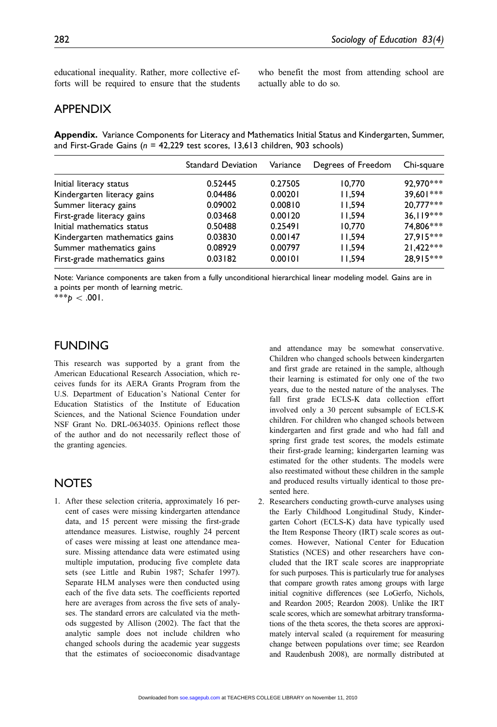educational inequality. Rather, more collective efforts will be required to ensure that the students who benefit the most from attending school are actually able to do so.

#### APPENDIX

Appendix. Variance Components for Literacy and Mathematics Initial Status and Kindergarten, Summer, and First-Grade Gains ( $n = 42,229$  test scores, 13,613 children, 903 schools)

|                                | Standard Deviation | Variance | Degrees of Freedom | Chi-square  |
|--------------------------------|--------------------|----------|--------------------|-------------|
| Initial literacy status        | 0.52445            | 0.27505  | 10.770             | 92.970 ***  |
| Kindergarten literacy gains    | 0.04486            | 0.00201  | 11.594             | 39.601 ***  |
| Summer literacy gains          | 0.09002            | 0.00810  | 11.594             | 20,777***   |
| First-grade literacy gains     | 0.03468            | 0.00120  | 11.594             | $36.119***$ |
| Initial mathematics status     | 0.50488            | 0.25491  | 10.770             | 74,806***   |
| Kindergarten mathematics gains | 0.03830            | 0.00147  | 11.594             | 27,915***   |
| Summer mathematics gains       | 0.08929            | 0.00797  | 11.594             | $21.422***$ |
| First-grade mathematics gains  | 0.03182            | 0.00101  | 11.594             | 28.915***   |

Note: Variance components are taken from a fully unconditional hierarchical linear modeling model. Gains are in a points per month of learning metric.

 $***p < .001$ .

#### FUNDING

This research was supported by a grant from the American Educational Research Association, which receives funds for its AERA Grants Program from the U.S. Department of Education's National Center for Education Statistics of the Institute of Education Sciences, and the National Science Foundation under NSF Grant No. DRL-0634035. Opinions reflect those of the author and do not necessarily reflect those of the granting agencies.

#### **NOTES**

1. After these selection criteria, approximately 16 percent of cases were missing kindergarten attendance data, and 15 percent were missing the first-grade attendance measures. Listwise, roughly 24 percent of cases were missing at least one attendance measure. Missing attendance data were estimated using multiple imputation, producing five complete data sets (see Little and Rubin 1987; Schafer 1997). Separate HLM analyses were then conducted using each of the five data sets. The coefficients reported here are averages from across the five sets of analyses. The standard errors are calculated via the methods suggested by Allison (2002). The fact that the analytic sample does not include children who changed schools during the academic year suggests that the estimates of socioeconomic disadvantage

and attendance may be somewhat conservative. Children who changed schools between kindergarten and first grade are retained in the sample, although their learning is estimated for only one of the two years, due to the nested nature of the analyses. The fall first grade ECLS-K data collection effort involved only a 30 percent subsample of ECLS-K children. For children who changed schools between kindergarten and first grade and who had fall and spring first grade test scores, the models estimate their first-grade learning; kindergarten learning was estimated for the other students. The models were also reestimated without these children in the sample and produced results virtually identical to those presented here.

2. Researchers conducting growth-curve analyses using the Early Childhood Longitudinal Study, Kindergarten Cohort (ECLS-K) data have typically used the Item Response Theory (IRT) scale scores as outcomes. However, National Center for Education Statistics (NCES) and other researchers have concluded that the IRT scale scores are inappropriate for such purposes. This is particularly true for analyses that compare growth rates among groups with large initial cognitive differences (see LoGerfo, Nichols, and Reardon 2005; Reardon 2008). Unlike the IRT scale scores, which are somewhat arbitrary transformations of the theta scores, the theta scores are approximately interval scaled (a requirement for measuring change between populations over time; see Reardon and Raudenbush 2008), are normally distributed at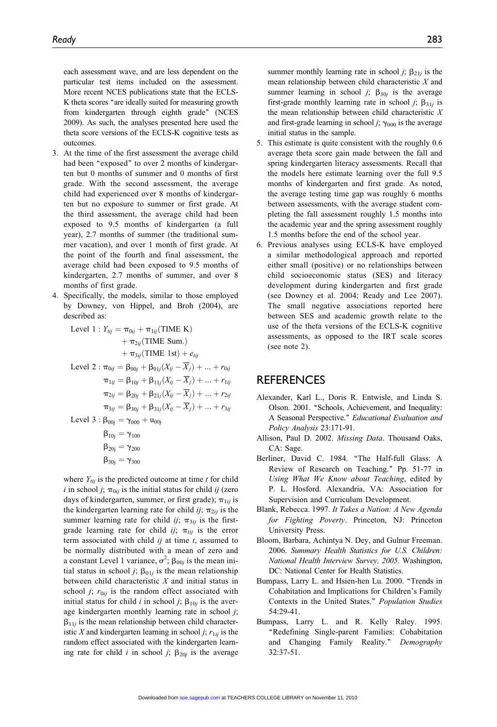each assessment wave, and are less dependent on the particular test items included on the assessment. More recent NCES publications state that the ECLS-K theta scores "are ideally suited for measuring growth from kindergarten through eighth grade'' (NCES 2009). As such, the analyses presented here used the theta score versions of the ECLS-K cognitive tests as outcomes.

- 3. At the time of the first assessment the average child had been "exposed" to over 2 months of kindergarten but 0 months of summer and 0 months of first grade. With the second assessment, the average child had experienced over 8 months of kindergarten but no exposure to summer or first grade. At the third assessment, the average child had been exposed to 9.5 months of kindergarten (a full year), 2.7 months of summer (the traditional summer vacation), and over 1 month of first grade. At the point of the fourth and final assessment, the average child had been exposed to 9.5 months of kindergarten, 2.7 months of summer, and over 8 months of first grade.
- 4. Specifically, the models, similar to those employed by Downey, von Hippel, and Broh (2004), are described as:

Level 1 : 
$$
Y_{tij} = \pi_{0ij} + \pi_{1ij}
$$
 (TIME K)  
\t\t\t\t $+ \pi_{2ij}$  (TIME Sum.)  
\t\t\t\t $+ \pi_{3ij}$  (TIME 1st) +  $e_{tij}$   
\nLevel 2 :  $\pi_{0ij} = \beta_{00j} + \beta_{01j}(X_{ij} - \overline{X}_j) + ... + r_{0ij}$   
\t\t\t\t $\pi_{1ij} = \beta_{10j} + \beta_{11j}(X_{ij} - \overline{X}_j) + ... + r_{1ij}$   
\t\t\t\t $\pi_{2ij} = \beta_{20j} + \beta_{21j}(X_{ij} - \overline{X}_j) + ... + r_{2ij}$   
\t\t\t\t $\pi_{3ij} = \beta_{30j} + \beta_{31j}(X_{ij} - \overline{X}_j) + ... + r_{3ij}$   
\nLevel 3 :  $\beta_{00j} = \gamma_{000} + u_{00j}$   
\t\t\t\t $\beta_{10j} = \gamma_{100}$   
\t\t\t\t $\beta_{20j} = \gamma_{200}$   
\t\t\t\t $\beta_{30j} = \gamma_{300}$ 

where  $Y_{tii}$  is the predicted outcome at time t for child i in school j;  $\pi_{0ij}$  is the initial status for child ij (zero days of kindergarten, summer, or first grade);  $\pi_{1ij}$  is the kindergarten learning rate for child ij;  $\pi_{2ii}$  is the summer learning rate for child ij;  $\pi_{3ij}$  is the firstgrade learning rate for child ij;  $\pi_{tii}$  is the error term associated with child  $ij$  at time  $t$ , assumed to be normally distributed with a mean of zero and a constant Level 1 variance,  $\sigma^2$ ;  $\beta_{00j}$  is the mean initial status in school j;  $\beta_{01j}$  is the mean relationship between child characteristic  $X$  and initial status in school  $j$ ;  $r_{0ij}$  is the random effect associated with initial status for child i in school j;  $\beta_{10j}$  is the average kindergarten monthly learning rate in school  $j$ ;  $\beta_{11i}$  is the mean relationship between child characteristic X and kindergarten learning in school *j*;  $r_{1ii}$  is the random effect associated with the kindergarten learning rate for child i in school j;  $\beta_{20j}$  is the average summer monthly learning rate in school j;  $\beta_{21j}$  is the mean relationship between child characteristic  $X$  and summer learning in school *j*;  $\beta_{30j}$  is the average first-grade monthly learning rate in school j;  $\beta_{31j}$  is the mean relationship between child characteristic  $X$ and first-grade learning in school j;  $\gamma_{000}$  is the average initial status in the sample.

- 5. This estimate is quite consistent with the roughly 0.6 average theta score gain made between the fall and spring kindergarten literacy assessments. Recall that the models here estimate learning over the full 9.5 months of kindergarten and first grade. As noted, the average testing time gap was roughly 6 months between assessments, with the average student completing the fall assessment roughly 1.5 months into the academic year and the spring assessment roughly 1.5 months before the end of the school year.
- 6. Previous analyses using ECLS-K have employed a similar methodological approach and reported either small (positive) or no relationships between child socioeconomic status (SES) and literacy development during kindergarten and first grade (see Downey et al. 2004; Ready and Lee 2007). The small negative associations reported here between SES and academic growth relate to the use of the theta versions of the ECLS-K cognitive assessments, as opposed to the IRT scale scores (see note 2).

#### REFERENCES

- Alexander, Karl L., Doris R. Entwisle, and Linda S. Olson. 2001. ''Schools, Achievement, and Inequality: A Seasonal Perspective.'' Educational Evaluation and Policy Analysis 23:171-91.
- Allison, Paul D. 2002. Missing Data. Thousand Oaks, CA: Sage.
- Berliner, David C. 1984. "The Half-full Glass: A Review of Research on Teaching.'' Pp. 51-77 in Using What We Know about Teaching, edited by P. L. Hosford. Alexandria, VA: Association for Supervision and Curriculum Development.
- Blank, Rebecca. 1997. It Takes a Nation: A New Agenda for Fighting Poverty. Princeton, NJ: Princeton University Press.
- Bloom, Barbara, Achintya N. Dey, and Gulnur Freeman. 2006. Summary Health Statistics for U.S. Children: National Health Interview Survey, 2005. Washington, DC: National Center for Health Statistics.
- Bumpass, Larry L. and Hsien-hen Lu. 2000. "Trends in Cohabitation and Implications for Children's Family Contexts in the United States.'' Population Studies 54:29-41.
- Bumpass, Larry L. and R. Kelly Raley. 1995. ''Redefining Single-parent Families: Cohabitation and Changing Family Reality.'' Demography 32:37-51.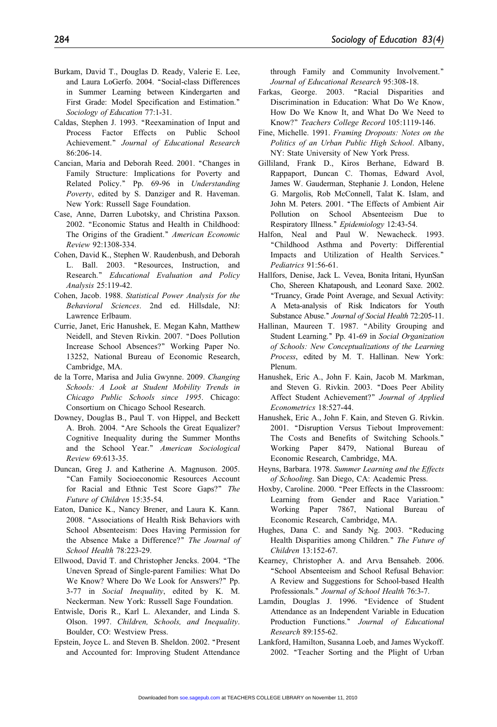- Burkam, David T., Douglas D. Ready, Valerie E. Lee, and Laura LoGerfo. 2004. ''Social-class Differences in Summer Learning between Kindergarten and First Grade: Model Specification and Estimation.'' Sociology of Education 77:1-31.
- Caldas, Stephen J. 1993. "Reexamination of Input and Process Factor Effects on Public School Achievement.'' Journal of Educational Research 86:206-14.
- Cancian, Maria and Deborah Reed. 2001. ''Changes in Family Structure: Implications for Poverty and Related Policy.'' Pp. 69-96 in Understanding Poverty, edited by S. Danziger and R. Haveman. New York: Russell Sage Foundation.
- Case, Anne, Darren Lubotsky, and Christina Paxson. 2002. "Economic Status and Health in Childhood: The Origins of the Gradient." American Economic Review 92:1308-334.
- Cohen, David K., Stephen W. Raudenbush, and Deborah L. Ball. 2003. "Resources, Instruction, and Research.'' Educational Evaluation and Policy Analysis 25:119-42.
- Cohen, Jacob. 1988. Statistical Power Analysis for the Behavioral Sciences. 2nd ed. Hillsdale, NJ: Lawrence Erlbaum.
- Currie, Janet, Eric Hanushek, E. Megan Kahn, Matthew Neidell, and Steven Rivkin. 2007. ''Does Pollution Increase School Absences?'' Working Paper No. 13252, National Bureau of Economic Research, Cambridge, MA.
- de la Torre, Marisa and Julia Gwynne. 2009. Changing Schools: A Look at Student Mobility Trends in Chicago Public Schools since 1995. Chicago: Consortium on Chicago School Research.
- Downey, Douglas B., Paul T. von Hippel, and Beckett A. Broh. 2004. "Are Schools the Great Equalizer? Cognitive Inequality during the Summer Months and the School Year.'' American Sociological Review 69:613-35.
- Duncan, Greg J. and Katherine A. Magnuson. 2005. ''Can Family Socioeconomic Resources Account for Racial and Ethnic Test Score Gaps?'' The Future of Children 15:35-54.
- Eaton, Danice K., Nancy Brener, and Laura K. Kann. 2008. "Associations of Health Risk Behaviors with School Absenteeism: Does Having Permission for the Absence Make a Difference?'' The Journal of School Health 78:223-29.
- Ellwood, David T. and Christopher Jencks. 2004. ''The Uneven Spread of Single-parent Families: What Do We Know? Where Do We Look for Answers?'' Pp. 3-77 in Social Inequality, edited by K. M. Neckerman. New York: Russell Sage Foundation.
- Entwisle, Doris R., Karl L. Alexander, and Linda S. Olson. 1997. Children, Schools, and Inequality. Boulder, CO: Westview Press.
- Epstein, Joyce L. and Steven B. Sheldon. 2002. "Present and Accounted for: Improving Student Attendance

through Family and Community Involvement.'' Journal of Educational Research 95:308-18.

- Farkas, George. 2003. "Racial Disparities and Discrimination in Education: What Do We Know, How Do We Know It, and What Do We Need to Know?'' Teachers College Record 105:1119-146.
- Fine, Michelle. 1991. Framing Dropouts: Notes on the Politics of an Urban Public High School. Albany, NY: State University of New York Press.
- Gilliland, Frank D., Kiros Berhane, Edward B. Rappaport, Duncan C. Thomas, Edward Avol, James W. Gauderman, Stephanie J. London, Helene G. Margolis, Rob McConnell, Talat K. Islam, and John M. Peters. 2001. ''The Effects of Ambient Air Pollution on School Absenteeism Due to Respiratory Illness.'' Epidemiology 12:43-54.
- Halfon, Neal and Paul W. Newacheck. 1993. ''Childhood Asthma and Poverty: Differential Impacts and Utilization of Health Services.'' Pediatrics 91:56-61.
- Hallfors, Denise, Jack L. Vevea, Bonita Iritani, HyunSan Cho, Shereen Khatapoush, and Leonard Saxe. 2002. ''Truancy, Grade Point Average, and Sexual Activity: A Meta-analysis of Risk Indicators for Youth Substance Abuse.'' Journal of Social Health 72:205-11.
- Hallinan, Maureen T. 1987. "Ability Grouping and Student Learning.'' Pp. 41-69 in Social Organization of Schools: New Conceptualizations of the Learning Process, edited by M. T. Hallinan. New York: Plenum.
- Hanushek, Eric A., John F. Kain, Jacob M. Markman, and Steven G. Rivkin. 2003. "Does Peer Ability Affect Student Achievement?'' Journal of Applied Econometrics 18:527-44.
- Hanushek, Eric A., John F. Kain, and Steven G. Rivkin. 2001. ''Disruption Versus Tiebout Improvement: The Costs and Benefits of Switching Schools.'' Working Paper 8479, National Bureau of Economic Research, Cambridge, MA.
- Heyns, Barbara. 1978. Summer Learning and the Effects of Schooling. San Diego, CA: Academic Press.
- Hoxby, Caroline. 2000. "Peer Effects in the Classroom: Learning from Gender and Race Variation.'' Working Paper 7867, National Bureau of Economic Research, Cambridge, MA.
- Hughes, Dana C. and Sandy Ng. 2003. "Reducing Health Disparities among Children." The Future of Children 13:152-67.
- Kearney, Christopher A. and Arva Bensaheb. 2006. ''School Absenteeism and School Refusal Behavior: A Review and Suggestions for School-based Health Professionals.'' Journal of School Health 76:3-7.
- Lamdin, Douglas J. 1996. "Evidence of Student Attendance as an Independent Variable in Education Production Functions.'' Journal of Educational Research 89:155-62.
- Lankford, Hamilton, Susanna Loeb, and James Wyckoff. 2002. ''Teacher Sorting and the Plight of Urban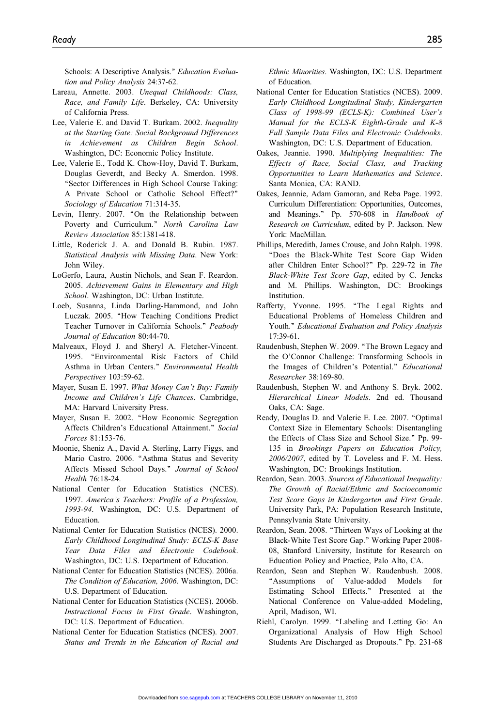Schools: A Descriptive Analysis." Education Evaluation and Policy Analysis 24:37-62.

- Lareau, Annette. 2003. Unequal Childhoods: Class, Race, and Family Life. Berkeley, CA: University of California Press.
- Lee, Valerie E. and David T. Burkam. 2002. Inequality at the Starting Gate: Social Background Differences in Achievement as Children Begin School. Washington, DC: Economic Policy Institute.
- Lee, Valerie E., Todd K. Chow-Hoy, David T. Burkam, Douglas Geverdt, and Becky A. Smerdon. 1998. ''Sector Differences in High School Course Taking: A Private School or Catholic School Effect?'' Sociology of Education 71:314-35.
- Levin, Henry. 2007. "On the Relationship between Poverty and Curriculum." North Carolina Law Review Association 85:1381-418.
- Little, Roderick J. A. and Donald B. Rubin. 1987. Statistical Analysis with Missing Data. New York: John Wiley.
- LoGerfo, Laura, Austin Nichols, and Sean F. Reardon. 2005. Achievement Gains in Elementary and High School. Washington, DC: Urban Institute.
- Loeb, Susanna, Linda Darling-Hammond, and John Luczak. 2005. "How Teaching Conditions Predict Teacher Turnover in California Schools.'' Peabody Journal of Education 80:44-70.
- Malveaux, Floyd J. and Sheryl A. Fletcher-Vincent. 1995. "Environmental Risk Factors of Child Asthma in Urban Centers.'' Environmental Health Perspectives 103:59-62.
- Mayer, Susan E. 1997. What Money Can't Buy: Family Income and Children's Life Chances. Cambridge, MA: Harvard University Press.
- Mayer, Susan E. 2002. "How Economic Segregation Affects Children's Educational Attainment.'' Social Forces 81:153-76.
- Moonie, Sheniz A., David A. Sterling, Larry Figgs, and Mario Castro. 2006. "Asthma Status and Severity Affects Missed School Days.'' Journal of School Health 76:18-24.
- National Center for Education Statistics (NCES). 1997. America's Teachers: Profile of a Profession, 1993-94. Washington, DC: U.S. Department of Education.
- National Center for Education Statistics (NCES). 2000. Early Childhood Longitudinal Study: ECLS-K Base Year Data Files and Electronic Codebook. Washington, DC: U.S. Department of Education.
- National Center for Education Statistics (NCES). 2006a. The Condition of Education, 2006. Washington, DC: U.S. Department of Education.
- National Center for Education Statistics (NCES). 2006b. Instructional Focus in First Grade. Washington, DC: U.S. Department of Education.
- National Center for Education Statistics (NCES). 2007. Status and Trends in the Education of Racial and

Ethnic Minorities. Washington, DC: U.S. Department of Education.

- National Center for Education Statistics (NCES). 2009. Early Childhood Longitudinal Study, Kindergarten Class of 1998-99 (ECLS-K): Combined User's Manual for the ECLS-K Eighth-Grade and K-8 Full Sample Data Files and Electronic Codebooks. Washington, DC: U.S. Department of Education.
- Oakes, Jeannie. 1990. Multiplying Inequalities: The Effects of Race, Social Class, and Tracking Opportunities to Learn Mathematics and Science. Santa Monica, CA: RAND.
- Oakes, Jeannie, Adam Gamoran, and Reba Page. 1992. Curriculum Differentiation: Opportunities, Outcomes, and Meanings.'' Pp. 570-608 in Handbook of Research on Curriculum, edited by P. Jackson. New York: MacMillan.
- Phillips, Meredith, James Crouse, and John Ralph. 1998. ''Does the Black-White Test Score Gap Widen after Children Enter School?'' Pp. 229-72 in The Black-White Test Score Gap, edited by C. Jencks and M. Phillips. Washington, DC: Brookings Institution.
- Rafferty, Yvonne. 1995. "The Legal Rights and Educational Problems of Homeless Children and Youth." Educational Evaluation and Policy Analysis 17:39-61.
- Raudenbush, Stephen W. 2009. "The Brown Legacy and the O'Connor Challenge: Transforming Schools in the Images of Children's Potential." Educational Researcher 38:169-80.
- Raudenbush, Stephen W. and Anthony S. Bryk. 2002. Hierarchical Linear Models. 2nd ed. Thousand Oaks, CA: Sage.
- Ready, Douglas D. and Valerie E. Lee. 2007. ''Optimal Context Size in Elementary Schools: Disentangling the Effects of Class Size and School Size.'' Pp. 99- 135 in Brookings Papers on Education Policy, 2006/2007, edited by T. Loveless and F. M. Hess. Washington, DC: Brookings Institution.
- Reardon, Sean. 2003. Sources of Educational Inequality: The Growth of Racial/Ethnic and Socioeconomic Test Score Gaps in Kindergarten and First Grade. University Park, PA: Population Research Institute, Pennsylvania State University.
- Reardon, Sean. 2008. ''Thirteen Ways of Looking at the Black-White Test Score Gap.'' Working Paper 2008- 08, Stanford University, Institute for Research on Education Policy and Practice, Palo Alto, CA.
- Reardon, Sean and Stephen W. Raudenbush. 2008. ''Assumptions of Value-added Models for Estimating School Effects.'' Presented at the National Conference on Value-added Modeling, April, Madison, WI.
- Riehl, Carolyn. 1999. "Labeling and Letting Go: An Organizational Analysis of How High School Students Are Discharged as Dropouts.'' Pp. 231-68